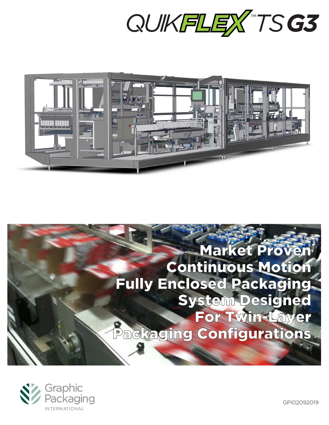



# **Market Proven Continuous Motion Fully Enclosed Packaging System Designed** For Twin-Layer Packaging Configurations